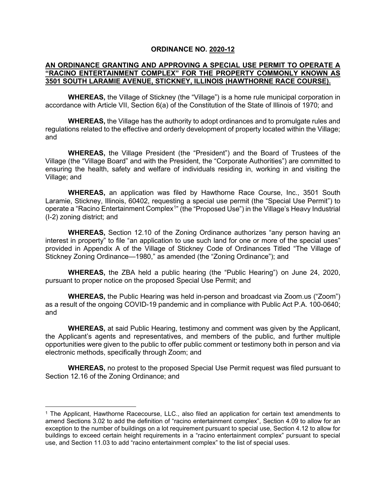## **ORDINANCE NO. 2020-12**

## **AN ORDINANCE GRANTING AND APPROVING A SPECIAL USE PERMIT TO OPERATE A "RACINO ENTERTAINMENT COMPLEX" FOR THE PROPERTY COMMONLY KNOWN AS 3501 SOUTH LARAMIE AVENUE, STICKNEY, ILLINOIS (HAWTHORNE RACE COURSE).**

**WHEREAS,** the Village of Stickney (the "Village") is a home rule municipal corporation in accordance with Article VII, Section 6(a) of the Constitution of the State of Illinois of 1970; and

**WHEREAS,** the Village has the authority to adopt ordinances and to promulgate rules and regulations related to the effective and orderly development of property located within the Village; and

**WHEREAS,** the Village President (the "President") and the Board of Trustees of the Village (the "Village Board" and with the President, the "Corporate Authorities") are committed to ensuring the health, safety and welfare of individuals residing in, working in and visiting the Village; and

**WHEREAS,** an application was filed by Hawthorne Race Course, Inc., 3501 South Laramie, Stickney, Illinois, 60402, requesting a special use permit (the "Special Use Permit") to operate a "Racino Entertainment Complex<sup>[1](#page-0-0)</sup>" (the "Proposed Use") in the Village's Heavy Industrial (I-2) zoning district; and

**WHEREAS,** Section 12.10 of the Zoning Ordinance authorizes "any person having an interest in property" to file "an application to use such land for one or more of the special uses" provided in Appendix A of the Village of Stickney Code of Ordinances Titled "The Village of Stickney Zoning Ordinance—1980," as amended (the "Zoning Ordinance"); and

**WHEREAS,** the ZBA held a public hearing (the "Public Hearing") on June 24, 2020, pursuant to proper notice on the proposed Special Use Permit; and

**WHEREAS,** the Public Hearing was held in-person and broadcast via Zoom.us ("Zoom") as a result of the ongoing COVID-19 pandemic and in compliance with Public Act P.A. 100-0640; and

**WHEREAS,** at said Public Hearing, testimony and comment was given by the Applicant, the Applicant's agents and representatives, and members of the public, and further multiple opportunities were given to the public to offer public comment or testimony both in person and via electronic methods, specifically through Zoom; and

**WHEREAS,** no protest to the proposed Special Use Permit request was filed pursuant to Section 12.16 of the Zoning Ordinance; and

<span id="page-0-0"></span><sup>1</sup> The Applicant, Hawthorne Racecourse, LLC., also filed an application for certain text amendments to amend Sections 3.02 to add the definition of "racino entertainment complex", Section 4.09 to allow for an exception to the number of buildings on a lot requirement pursuant to special use, Section 4.12 to allow for buildings to exceed certain height requirements in a "racino entertainment complex" pursuant to special use, and Section 11.03 to add "racino entertainment complex" to the list of special uses.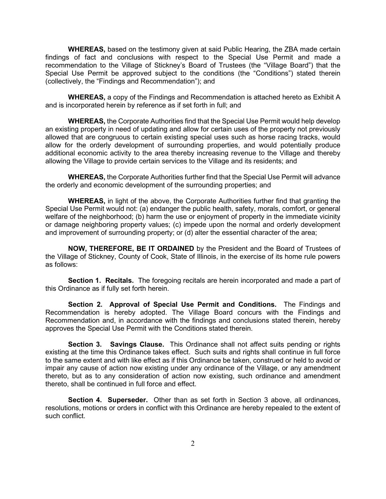**WHEREAS,** based on the testimony given at said Public Hearing, the ZBA made certain findings of fact and conclusions with respect to the Special Use Permit and made a recommendation to the Village of Stickney's Board of Trustees (the "Village Board") that the Special Use Permit be approved subject to the conditions (the "Conditions") stated therein (collectively, the "Findings and Recommendation"); and

**WHEREAS,** a copy of the Findings and Recommendation is attached hereto as Exhibit A and is incorporated herein by reference as if set forth in full; and

**WHEREAS,** the Corporate Authorities find that the Special Use Permit would help develop an existing property in need of updating and allow for certain uses of the property not previously allowed that are congruous to certain existing special uses such as horse racing tracks, would allow for the orderly development of surrounding properties, and would potentially produce additional economic activity to the area thereby increasing revenue to the Village and thereby allowing the Village to provide certain services to the Village and its residents; and

**WHEREAS,** the Corporate Authorities further find that the Special Use Permit will advance the orderly and economic development of the surrounding properties; and

**WHEREAS,** in light of the above, the Corporate Authorities further find that granting the Special Use Permit would not: (a) endanger the public health, safety, morals, comfort, or general welfare of the neighborhood; (b) harm the use or enjoyment of property in the immediate vicinity or damage neighboring property values; (c) impede upon the normal and orderly development and improvement of surrounding property; or (d) alter the essential character of the area;

**NOW, THEREFORE, BE IT ORDAINED** by the President and the Board of Trustees of the Village of Stickney, County of Cook, State of Illinois, in the exercise of its home rule powers as follows:

**Section 1. Recitals.** The foregoing recitals are herein incorporated and made a part of this Ordinance as if fully set forth herein.

**Section 2. Approval of Special Use Permit and Conditions.** The Findings and Recommendation is hereby adopted. The Village Board concurs with the Findings and Recommendation and, in accordance with the findings and conclusions stated therein, hereby approves the Special Use Permit with the Conditions stated therein.

**Section 3. Savings Clause.** This Ordinance shall not affect suits pending or rights existing at the time this Ordinance takes effect. Such suits and rights shall continue in full force to the same extent and with like effect as if this Ordinance be taken, construed or held to avoid or impair any cause of action now existing under any ordinance of the Village, or any amendment thereto, but as to any consideration of action now existing, such ordinance and amendment thereto, shall be continued in full force and effect.

**Section 4. Superseder.** Other than as set forth in Section 3 above, all ordinances, resolutions, motions or orders in conflict with this Ordinance are hereby repealed to the extent of such conflict.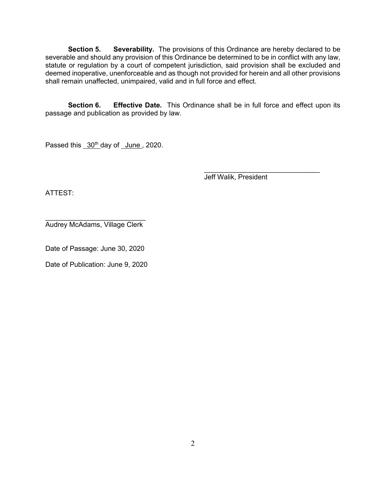**Section 5. Severability.** The provisions of this Ordinance are hereby declared to be severable and should any provision of this Ordinance be determined to be in conflict with any law, statute or regulation by a court of competent jurisdiction, said provision shall be excluded and deemed inoperative, unenforceable and as though not provided for herein and all other provisions shall remain unaffected, unimpaired, valid and in full force and effect.

**Section 6. Effective Date.** This Ordinance shall be in full force and effect upon its passage and publication as provided by law.

Passed this 30<sup>th</sup> day of June, 2020.

\_\_\_\_\_\_\_\_\_\_\_\_\_\_\_\_\_\_\_\_\_\_\_\_\_\_\_\_\_\_ Jeff Walik, President

ATTEST:

 $\overline{\phantom{a}}$  , which is a set of the set of the set of the set of the set of the set of the set of the set of the set of the set of the set of the set of the set of the set of the set of the set of the set of the set of th Audrey McAdams, Village Clerk

Date of Passage: June 30, 2020

Date of Publication: June 9, 2020